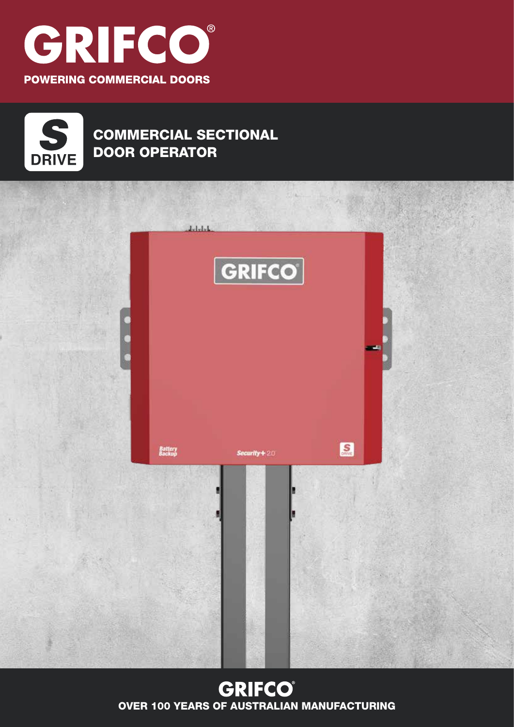



## COMMERCIAL SECTIONAL DOOR OPERATOR



### **GRIFCO**® OVER 100 YEARS OF AUSTRALIAN MANUFACTURING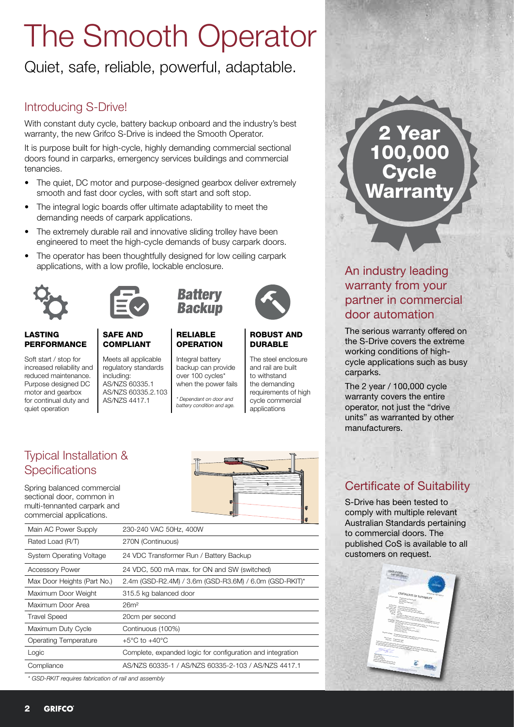# The Smooth Operator

Quiet, safe, reliable, powerful, adaptable.

### Introducing S-Drive!

With constant duty cycle, battery backup onboard and the industry's best warranty, the new Grifco S-Drive is indeed the Smooth Operator.

It is purpose built for high-cycle, highly demanding commercial sectional doors found in carparks, emergency services buildings and commercial tenancies.

- The quiet, DC motor and purpose-designed gearbox deliver extremely smooth and fast door cycles, with soft start and soft stop.
- The integral logic boards offer ultimate adaptability to meet the demanding needs of carpark applications.
- The extremely durable rail and innovative sliding trolley have been engineered to meet the high-cycle demands of busy carpark doors.
- The operator has been thoughtfully designed for low ceiling carpark applications, with a low profile, lockable enclosure.



LASTING PERFORMANCE

#### SAFE AND COMPLIANT

Soft start / stop for increased reliability and reduced maintenance. Purpose designed DC motor and gearbox for continual duty and quiet operation

Meets all applicable regulatory standards including: AS/NZS 60335.1 AS/NZS 60335.2.103 AS/NZS 4417.1



#### RELIABLE **OPERATION**

Integral battery backup can provide over 100 cycles\* when the power fails

*\* Dependant on door and battery condition and age.*



#### ROBUST AND DURABLE

The steel enclosure and rail are built to withstand the demanding requirements of high cycle commercial applications

### Typical Installation & **Specifications**

Spring balanced commercial sectional door, common in multi-tennanted carpark and commercial applications.



| Main AC Power Supply         | 230-240 VAC 50Hz, 400W                                     |  |
|------------------------------|------------------------------------------------------------|--|
| Rated Load (R/T)             | 270N (Continuous)                                          |  |
| System Operating Voltage     | 24 VDC Transformer Run / Battery Backup                    |  |
| <b>Accessory Power</b>       | 24 VDC, 500 mA max. for ON and SW (switched)               |  |
| Max Door Heights (Part No.)  | 2.4m (GSD-R2.4M) / 3.6m (GSD-R3.6M) / 6.0m (GSD-RKIT)*     |  |
| Maximum Door Weight          | 315.5 kg balanced door                                     |  |
| Maximum Door Area            | 26m <sup>2</sup>                                           |  |
| <b>Travel Speed</b>          | 20cm per second                                            |  |
| Maximum Duty Cycle           | Continuous (100%)                                          |  |
| <b>Operating Temperature</b> | $+5^{\circ}$ C to $+40^{\circ}$ C                          |  |
| Logic                        | Complete, expanded logic for configuration and integration |  |
| Compliance                   | AS/NZS 60335-1 / AS/NZS 60335-2-103 / AS/NZS 4417.1        |  |
|                              |                                                            |  |

*\* GSD-RKIT requires fabrication of rail and assembly*

# 2 Year 100,000 **Cycle** Warranty

### An industry leading warranty from your partner in commercial door automation

The serious warranty offered on the S-Drive covers the extreme working conditions of highcycle applications such as busy carparks.

The 2 year / 100,000 cycle warranty covers the entire operator, not just the "drive units" as warranted by other manufacturers.

### Certificate of Suitability

S-Drive has been tested to comply with multiple relevant Australian Standards pertaining to commercial doors. The published CoS is available to all customers on request.

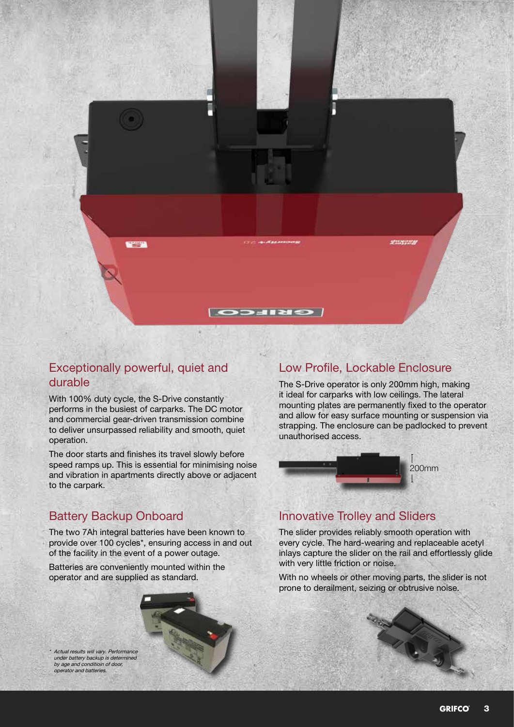

### Exceptionally powerful, quiet and durable

With 100% duty cycle, the S-Drive constantly performs in the busiest of carparks. The DC motor and commercial gear-driven transmission combine to deliver unsurpassed reliability and smooth, quiet operation.

The door starts and finishes its travel slowly before speed ramps up. This is essential for minimising noise and vibration in apartments directly above or adjacent to the carpark.

### Low Profile, Lockable Enclosure

The S-Drive operator is only 200mm high, making it ideal for carparks with low ceilings. The lateral mounting plates are permanently fixed to the operator and allow for easy surface mounting or suspension via strapping. The enclosure can be padlocked to prevent unauthorised access.



### Battery Backup Onboard

The two 7Ah integral batteries have been known to provide over 100 cycles\*, ensuring access in and out of the facility in the event of a power outage.

Batteries are conveniently mounted within the operator and are supplied as standard.

\* Actual results will vary. Performance under battery backup is determined by age and conditioin of door, operator and batteries.

#### Innovative Trolley and Sliders

The slider provides reliably smooth operation with every cycle. The hard-wearing and replaceable acetyl inlays capture the slider on the rail and effortlessly glide with very little friction or noise.

With no wheels or other moving parts, the slider is not prone to derailment, seizing or obtrusive noise.